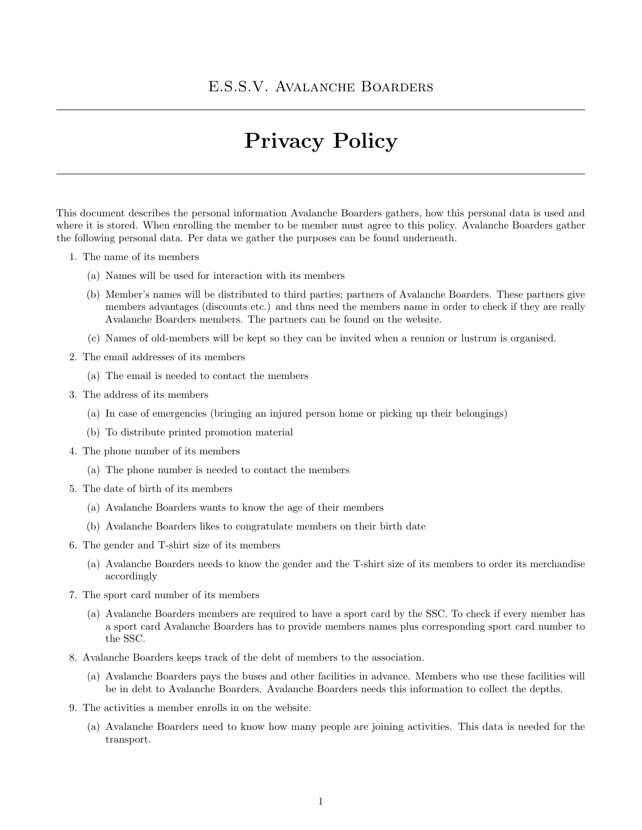## Privacy Policy

This document describes the personal information Avalanche Boarders gathers, how this personal data is used and where it is stored. When enrolling the member to be member must agree to this policy. Avalanche Boarders gather the following personal data. Per data we gather the purposes can be found underneath.

- 1. The name of its members
	- (a) Names will be used for interaction with its members
	- (b) Member's names will be distributed to third parties; partners of Avalanche Boarders. These partners give members advantages (discounts etc.) and thus need the members name in order to check if they are really Avalanche Boarders members. The partners can be found on the website.
	- (c) Names of old-members will be kept so they can be invited when a reunion or lustrum is organised.
- 2. The email addresses of its members
	- (a) The email is needed to contact the members
- 3. The address of its members
	- (a) In case of emergencies (bringing an injured person home or picking up their belongings)
	- (b) To distribute printed promotion material
- 4. The phone number of its members
	- (a) The phone number is needed to contact the members
- 5. The date of birth of its members
	- (a) Avalanche Boarders wants to know the age of their members
	- (b) Avalanche Boarders likes to congratulate members on their birth date
- 6. The gender and T-shirt size of its members
	- (a) Avalanche Boarders needs to know the gender and the T-shirt size of its members to order its merchandise accordingly
- 7. The sport card number of its members
	- (a) Avalanche Boarders members are required to have a sport card by the SSC. To check if every member has a sport card Avalanche Boarders has to provide members names plus corresponding sport card number to the SSC.
- 8. Avalanche Boarders keeps track of the debt of members to the association.
	- (a) Avalanche Boarders pays the buses and other facilities in advance. Members who use these facilities will be in debt to Avalanche Boarders. Avalanche Boarders needs this information to collect the depths.
- 9. The activities a member enrolls in on the website.
	- (a) Avalanche Boarders need to know how many people are joining activities. This data is needed for the transport.